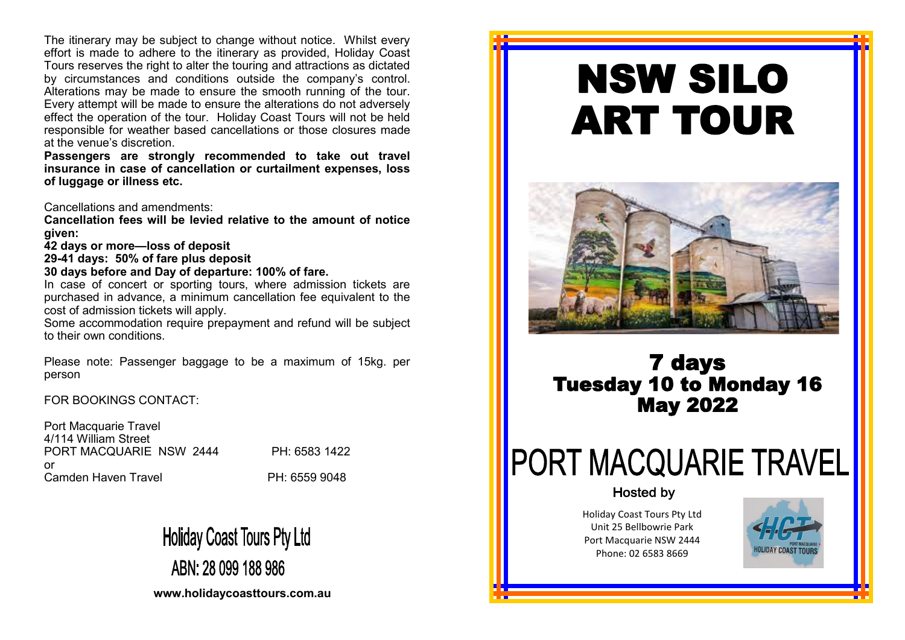The itinerary may be subject to change without notice. Whilst every effort is made to adhere to the itinerary as provided, Holiday Coast Tours reserves the right to alter the touring and attractions as dictated by circumstances and conditions outside the company's control. Alterations may be made to ensure the smooth running of the tour. Every attempt will be made to ensure the alterations do not adversely effect the operation of the tour. Holiday Coast Tours will not be held responsible for weather based cancellations or those closures made at the venue's discretion.

**Passengers are strongly recommended to take out travel insurance in case of cancellation or curtailment expenses, loss of luggage or illness etc.** 

Cancellations and amendments:

**Cancellation fees will be levied relative to the amount of notice given:**

**42 days or more—loss of deposit**

**29-41 days: 50% of fare plus deposit**

**30 days before and Day of departure: 100% of fare.**

In case of concert or sporting tours, where admission tickets are purchased in advance, a minimum cancellation fee equivalent to the cost of admission tickets will apply.

Some accommodation require prepayment and refund will be subject to their own conditions.

Please note: Passenger baggage to be a maximum of 15kg. per person

FOR BOOKINGS CONTACT:

Port Macquarie Travel 4/114 William Street PORT MACQUARIE NSW 2444 PH: 6583 1422 or Camden Haven Travel **PH: 6559 9048** 

**Holiday Coast Tours Pty Ltd** ABN: 28 099 188 986

**www.holidaycoasttours.com.au**

# NSW SILO ART TOUR



## 7 days Tuesday 10 to Monday 16 May 2022

## **PORT MACQUARIE TRAVEL**

### **Hosted by**

Holiday Coast Tours Pty Ltd Unit 25 Bellbowrie Park Port Macquarie NSW 2444 Phone: 02 6583 8669

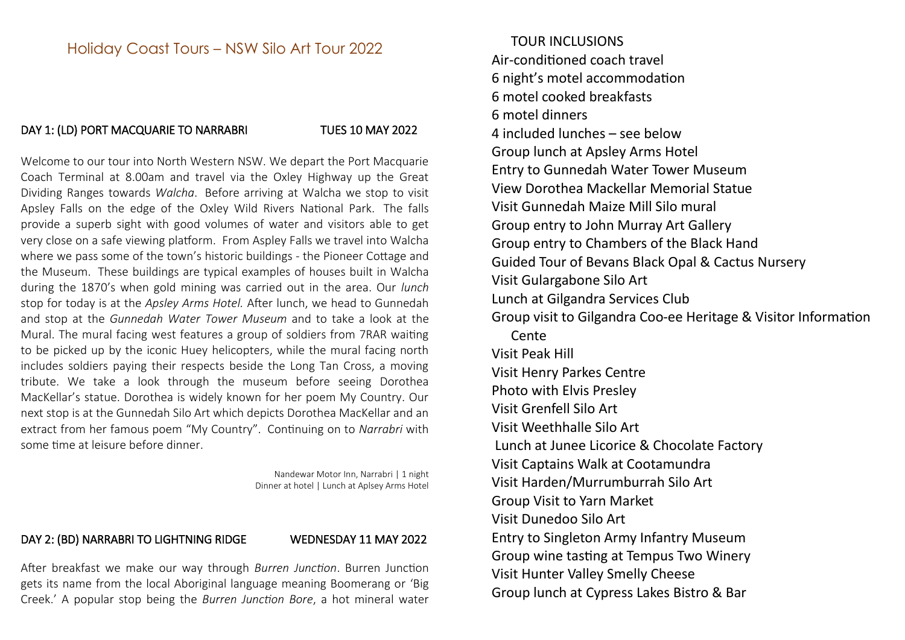### Holiday Coast Tours – NSW Silo Art Tour 2022

### DAY 1: (LD) PORT MACQUARIE TO NARRABRI TUES 10 MAY 2022

Welcome to our tour into North Western NSW. We depart the Port Macquarie Coach Terminal at 8.00am and travel via the Oxley Highway up the Great Dividing Ranges towards *Walcha*. Before arriving at Walcha we stop to visit Apsley Falls on the edge of the Oxley Wild Rivers National Park. The falls provide a superb sight with good volumes of water and visitors able to get very close on a safe viewing platform. From Aspley Falls we travel into Walcha where we pass some of the town's historic buildings - the Pioneer Cottage and the Museum. These buildings are typical examples of houses built in Walcha during the 1870's when gold mining was carried out in the area. Our *lunch* stop for today is at the *Apsley Arms Hotel.* After lunch, we head to Gunnedah and stop at the *Gunnedah Water Tower Museum* and to take a look at the Mural. The mural facing west features a group of soldiers from 7RAR waiting to be picked up by the iconic Huey helicopters, while the mural facing north includes soldiers paying their respects beside the Long Tan Cross, a moving tribute. We take a look through the museum before seeing Dorothea MacKellar's statue. Dorothea is widely known for her poem My Country. Our next stop is at the Gunnedah Silo Art which depicts Dorothea MacKellar and an extract from her famous poem "My Country". Continuing on to *Narrabri* with some time at leisure before dinner.

> Nandewar Motor Inn, Narrabri | 1 night Dinner at hotel | Lunch at Aplsey Arms Hotel

### DAY 2: (BD) NARRABRI TO LIGHTNING RIDGE WEDNESDAY 11 MAY 2022

After breakfast we make our way through *Burren Junction*. Burren Junction gets its name from the local Aboriginal language meaning Boomerang or 'Big Creek.' A popular stop being the *Burren Junction Bore*, a hot mineral water

TOUR INCLUSIONS Air-conditioned coach travel 6 night's motel accommodation 6 motel cooked breakfasts 6 motel dinners 4 included lunches – see below Group lunch at Apsley Arms Hotel Entry to Gunnedah Water Tower Museum View Dorothea Mackellar Memorial Statue Visit Gunnedah Maize Mill Silo mural Group entry to John Murray Art Gallery Group entry to Chambers of the Black Hand Guided Tour of Bevans Black Opal & Cactus Nursery Visit Gulargabone Silo Art Lunch at Gilgandra Services Club Group visit to Gilgandra Coo-ee Heritage & Visitor Information Cente Visit Peak Hill Visit Henry Parkes Centre Photo with Elvis Presley Visit Grenfell Silo Art Visit Weethhalle Silo Art Lunch at Junee Licorice & Chocolate Factory Visit Captains Walk at Cootamundra Visit Harden/Murrumburrah Silo Art Group Visit to Yarn Market Visit Dunedoo Silo Art Entry to Singleton Army Infantry Museum Group wine tasting at Tempus Two Winery Visit Hunter Valley Smelly Cheese Group lunch at Cypress Lakes Bistro & Bar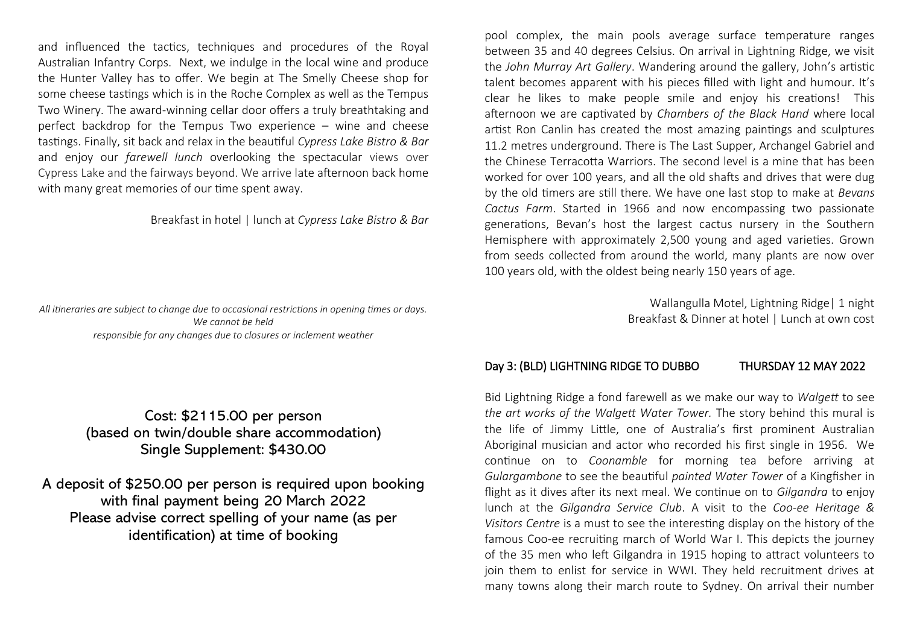and influenced the tactics, techniques and procedures of the Royal Australian Infantry Corps. Next, we indulge in the local wine and produce the Hunter Valley has to offer. We begin at The Smelly Cheese shop for some cheese tastings which is in the Roche Complex as well as the Tempus Two Winery. The award-winning cellar door offers a truly breathtaking and perfect backdrop for the Tempus Two experience – wine and cheese tastings. Finally, sit back and relax in the beautiful *Cypress Lake Bistro & Bar*  and enjoy our *farewell lunch* overlooking the spectacular views over Cypress Lake and the fairways beyond. We arrive late afternoon back home with many great memories of our time spent away.

Breakfast in hotel | lunch at *Cypress Lake Bistro & Bar*

*All itineraries are subject to change due to occasional restrictions in opening times or days. We cannot be held responsible for any changes due to closures or inclement weather*

> Cost: \$2115.00 per person (based on twin/double share accommodation) Single Supplement: \$430.00

A deposit of \$250.00 per person is required upon booking with final payment being 20 March 2022 Please advise correct spelling of your name (as per identification) at time of booking

pool complex, the main pools average surface temperature ranges between 35 and 40 degrees Celsius. On arrival in Lightning Ridge, we visit the *John Murray Art Gallery*. Wandering around the gallery, John's artistic talent becomes apparent with his pieces filled with light and humour. It's clear he likes to make people smile and enjoy his creations! This afternoon we are captivated by *Chambers of the Black Hand* where local artist Ron Canlin has created the most amazing paintings and sculptures 11.2 metres underground. There is The Last Supper, Archangel Gabriel and the Chinese Terracotta Warriors. The second level is a mine that has been worked for over 100 years, and all the old shafts and drives that were dug by the old timers are still there. We have one last stop to make at *Bevans Cactus Farm*. Started in 1966 and now encompassing two passionate generations, Bevan's host the largest cactus nursery in the Southern Hemisphere with approximately 2,500 young and aged varieties. Grown from seeds collected from around the world, many plants are now over 100 years old, with the oldest being nearly 150 years of age.

> Wallangulla Motel, Lightning Ridge| 1 night Breakfast & Dinner at hotel | Lunch at own cost

### Day 3: (BLD) LIGHTNING RIDGE TO DUBBO THURSDAY 12 MAY 2022

Bid Lightning Ridge a fond farewell as we make our way to *Walgett* to see *the art works of the Walgett Water Tower.* The story behind this mural is the life of Jimmy Little, one of Australia's first prominent Australian Aboriginal musician and actor who recorded his first single in 1956. We continue on to *Coonamble* for morning tea before arriving at *Gulargambone* to see the beautiful *painted Water Tower* of a Kingfisher in flight as it dives after its next meal. We continue on to *Gilgandra* to enjoy lunch at the *Gilgandra Service Club*. A visit to the *Coo-ee Heritage & Visitors Centre* is a must to see the interesting display on the history of the famous Coo-ee recruiting march of World War I. This depicts the journey of the 35 men who left Gilgandra in 1915 hoping to attract volunteers to join them to enlist for service in WWI. They held recruitment drives at many towns along their march route to Sydney. On arrival their number